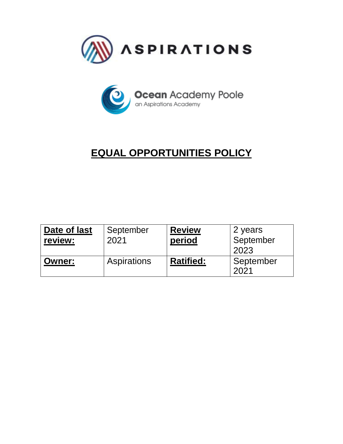



# **EQUAL OPPORTUNITIES POLICY**

| Date of last<br>review: | September<br>2021 | <b>Review</b><br>period | 2 years<br>September<br>2023 |
|-------------------------|-------------------|-------------------------|------------------------------|
| <b>Owner:</b>           | Aspirations       | <b>Ratified:</b>        | September<br>2021            |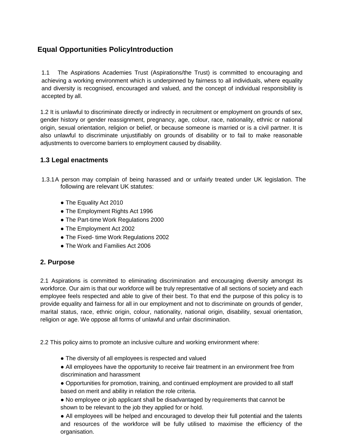# **Equal Opportunities PolicyIntroduction**

1.1 The Aspirations Academies Trust (Aspirations/the Trust) is committed to encouraging and achieving a working environment which is underpinned by fairness to all individuals, where equality and diversity is recognised, encouraged and valued, and the concept of individual responsibility is accepted by all.

1.2 It is unlawful to discriminate directly or indirectly in recruitment or employment on grounds of sex, gender history or gender reassignment, pregnancy, age, colour, race, nationality, ethnic or national origin, sexual orientation, religion or belief, or because someone is married or is a civil partner. It is also unlawful to discriminate unjustifiably on grounds of disability or to fail to make reasonable adjustments to overcome barriers to employment caused by disability.

#### **1.3 Legal enactments**

- 1.3.1A person may complain of being harassed and or unfairly treated under UK legislation. The following are relevant UK statutes:
	- The Equality Act 2010
	- The Employment Rights Act 1996
	- The Part-time Work Regulations 2000
	- The Employment Act 2002
	- The Fixed- time Work Regulations 2002
	- The Work and Families Act 2006

#### **2. Purpose**

2.1 Aspirations is committed to eliminating discrimination and encouraging diversity amongst its workforce. Our aim is that our workforce will be truly representative of all sections of society and each employee feels respected and able to give of their best. To that end the purpose of this policy is to provide equality and fairness for all in our employment and not to discriminate on grounds of gender, marital status, race, ethnic origin, colour, nationality, national origin, disability, sexual orientation, religion or age. We oppose all forms of unlawful and unfair discrimination.

2.2 This policy aims to promote an inclusive culture and working environment where:

- The diversity of all employees is respected and valued
- All employees have the opportunity to receive fair treatment in an environment free from discrimination and harassment

● Opportunities for promotion, training, and continued employment are provided to all staff based on merit and ability in relation the role criteria.

● No employee or job applicant shall be disadvantaged by requirements that cannot be shown to be relevant to the job they applied for or hold.

• All employees will be helped and encouraged to develop their full potential and the talents and resources of the workforce will be fully utilised to maximise the efficiency of the organisation.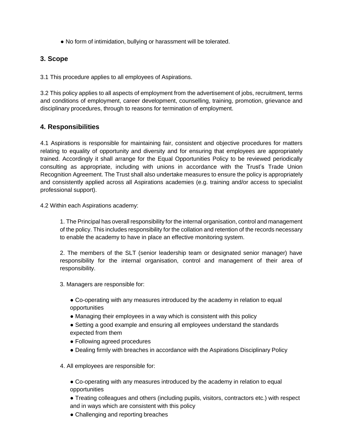• No form of intimidation, bullying or harassment will be tolerated.

#### **3. Scope**

3.1 This procedure applies to all employees of Aspirations.

3.2 This policy applies to all aspects of employment from the advertisement of jobs, recruitment, terms and conditions of employment, career development, counselling, training, promotion, grievance and disciplinary procedures, through to reasons for termination of employment.

#### **4. Responsibilities**

4.1 Aspirations is responsible for maintaining fair, consistent and objective procedures for matters relating to equality of opportunity and diversity and for ensuring that employees are appropriately trained. Accordingly it shall arrange for the Equal Opportunities Policy to be reviewed periodically consulting as appropriate, including with unions in accordance with the Trust's Trade Union Recognition Agreement. The Trust shall also undertake measures to ensure the policy is appropriately and consistently applied across all Aspirations academies (e.g. training and/or access to specialist professional support).

4.2 Within each Aspirations academy:

1. The Principal has overall responsibility for the internal organisation, control and management of the policy. This includes responsibility for the collation and retention of the records necessary to enable the academy to have in place an effective monitoring system.

2. The members of the SLT (senior leadership team or designated senior manager) have responsibility for the internal organisation, control and management of their area of responsibility.

3. Managers are responsible for:

● Co-operating with any measures introduced by the academy in relation to equal opportunities

- Managing their employees in a way which is consistent with this policy
- Setting a good example and ensuring all employees understand the standards expected from them
- Following agreed procedures
- Dealing firmly with breaches in accordance with the Aspirations Disciplinary Policy
- 4. All employees are responsible for:

● Co-operating with any measures introduced by the academy in relation to equal opportunities

● Treating colleagues and others (including pupils, visitors, contractors etc.) with respect and in ways which are consistent with this policy

• Challenging and reporting breaches